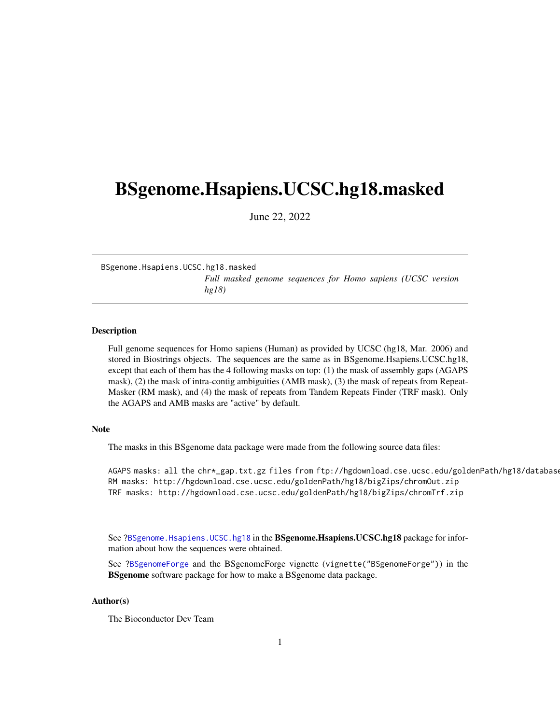# <span id="page-0-1"></span><span id="page-0-0"></span>BSgenome.Hsapiens.UCSC.hg18.masked

June 22, 2022

BSgenome.Hsapiens.UCSC.hg18.masked *Full masked genome sequences for Homo sapiens (UCSC version hg18)*

### Description

Full genome sequences for Homo sapiens (Human) as provided by UCSC (hg18, Mar. 2006) and stored in Biostrings objects. The sequences are the same as in BSgenome.Hsapiens.UCSC.hg18, except that each of them has the 4 following masks on top: (1) the mask of assembly gaps (AGAPS mask), (2) the mask of intra-contig ambiguities (AMB mask), (3) the mask of repeats from Repeat-Masker (RM mask), and (4) the mask of repeats from Tandem Repeats Finder (TRF mask). Only the AGAPS and AMB masks are "active" by default.

#### Note

The masks in this BSgenome data package were made from the following source data files:

AGAPS masks: all the chr\*\_gap.txt.gz files from ftp://hgdownload.cse.ucsc.edu/goldenPath/hg18/database RM masks: http://hgdownload.cse.ucsc.edu/goldenPath/hg18/bigZips/chromOut.zip TRF masks: http://hgdownload.cse.ucsc.edu/goldenPath/hg18/bigZips/chromTrf.zip

See ?BSgenome. Hsapiens. UCSC.hg18 in the BSgenome. Hsapiens. UCSC.hg18 package for information about how the sequences were obtained.

See ?BSgenomeForge and the BSgenomeForge vignette (vignette("BSgenomeForge")) in the **BSgenome** software package for how to make a BSgenome data package.

## Author(s)

The Bioconductor Dev Team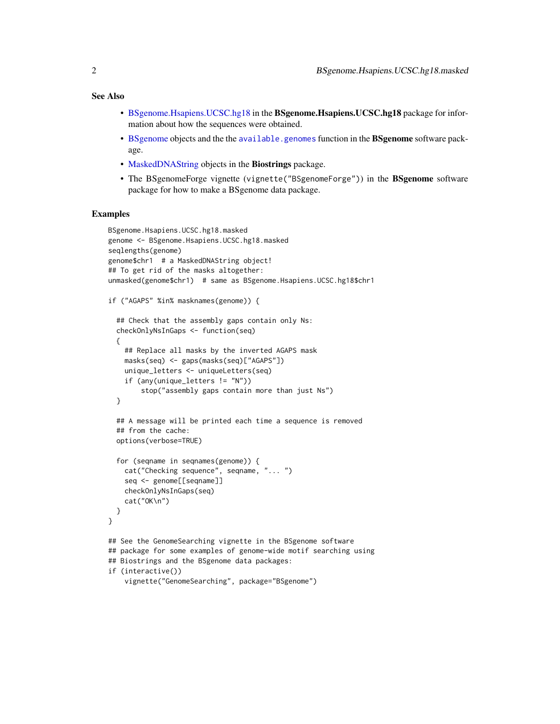#### <span id="page-1-0"></span>See Also

- [BSgenome.Hsapiens.UCSC.hg18](#page-0-0) in the BSgenome.Hsapiens.UCSC.hg18 package for information about how the sequences were obtained.
- [BSgenome](#page-0-0) objects and the the [available.genomes](#page-0-0) function in the BSgenome software package.
- [MaskedDNAString](#page-0-0) objects in the Biostrings package.
- The BSgenomeForge vignette (vignette("BSgenomeForge")) in the BSgenome software package for how to make a BSgenome data package.

#### Examples

```
BSgenome.Hsapiens.UCSC.hg18.masked
genome <- BSgenome.Hsapiens.UCSC.hg18.masked
seqlengths(genome)
genome$chr1 # a MaskedDNAString object!
## To get rid of the masks altogether:
unmasked(genome$chr1) # same as BSgenome.Hsapiens.UCSC.hg18$chr1
if ("AGAPS" %in% masknames(genome)) {
 ## Check that the assembly gaps contain only Ns:
 checkOnlyNsInGaps <- function(seq)
 {
   ## Replace all masks by the inverted AGAPS mask
   masks(seq) <- gaps(masks(seq)["AGAPS"])
   unique_letters <- uniqueLetters(seq)
    if (any(unique_letters != "N"))
        stop("assembly gaps contain more than just Ns")
 }
 ## A message will be printed each time a sequence is removed
 ## from the cache:
 options(verbose=TRUE)
 for (seqname in seqnames(genome)) {
    cat("Checking sequence", seqname, "... ")
    seq <- genome[[seqname]]
   checkOnlyNsInGaps(seq)
    cat("OK\n")
 }
}
## See the GenomeSearching vignette in the BSgenome software
## package for some examples of genome-wide motif searching using
## Biostrings and the BSgenome data packages:
if (interactive())
    vignette("GenomeSearching", package="BSgenome")
```